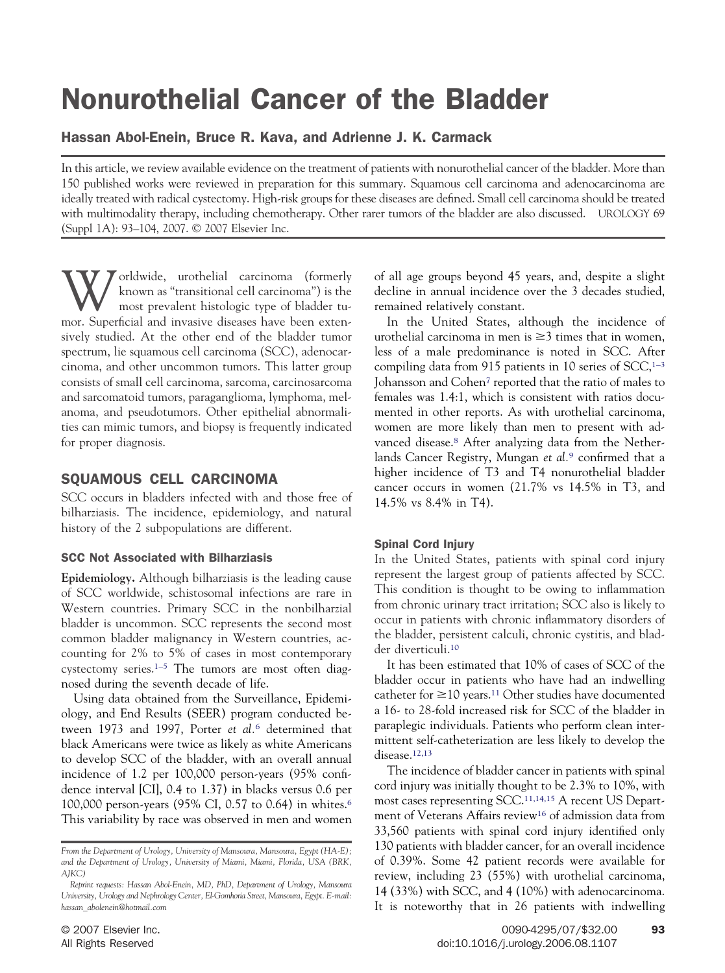# Nonurothelial Cancer of the Bladder

Hassan Abol-Enein, Bruce R. Kava, and Adrienne J. K. Carmack

In this article, we review available evidence on the treatment of patients with nonurothelial cancer of the bladder. More than 150 published works were reviewed in preparation for this summary. Squamous cell carcinoma and adenocarcinoma are ideally treated with radical cystectomy. High-risk groups for these diseases are defined. Small cell carcinoma should be treated with multimodality therapy, including chemotherapy. Other rarer tumors of the bladder are also discussed. UROLOGY 69 (Suppl 1A): 93–104, 2007. © 2007 Elsevier Inc.

Worldwide, urothelial carcinoma (formerly<br>known as "transitional cell carcinoma") is the<br>most prevalent histologic type of bladder tu-<br>mor, Superficial and invasive diseases have been extend known as "transitional cell carcinoma") is the most prevalent histologic type of bladder tumor. Superficial and invasive diseases have been extensively studied. At the other end of the bladder tumor spectrum, lie squamous cell carcinoma (SCC), adenocarcinoma, and other uncommon tumors. This latter group consists of small cell carcinoma, sarcoma, carcinosarcoma and sarcomatoid tumors, paraganglioma, lymphoma, melanoma, and pseudotumors. Other epithelial abnormalities can mimic tumors, and biopsy is frequently indicated for proper diagnosis.

# SQUAMOUS CELL CARCINOMA

SCC occurs in bladders infected with and those free of bilharziasis. The incidence, epidemiology, and natural history of the 2 subpopulations are different.

# SCC Not Associated with Bilharziasis

**Epidemiology.** Although bilharziasis is the leading cause of SCC worldwide, schistosomal infections are rare in Western countries. Primary SCC in the nonbilharzial bladder is uncommon. SCC represents the second most common bladder malignancy in Western countries, accounting for 2% to 5% of cases in most contemporary cystectomy series[.1–5](#page-9-0) The tumors are most often diagnosed during the seventh decade of life.

Using data obtained from the Surveillance, Epidemiology, and End Results (SEER) program conducted between 1973 and 1997, Porter *et al.*[6](#page-9-0) determined that black Americans were twice as likely as white Americans to develop SCC of the bladder, with an overall annual incidence of 1.2 per 100,000 person-years (95% confidence interval [CI], 0.4 to 1.37) in blacks versus 0.6 per 100,000 person-years (95% CI, 0.57 to 0.64) in whites[.6](#page-9-0) This variability by race was observed in men and women of all age groups beyond 45 years, and, despite a slight decline in annual incidence over the 3 decades studied, remained relatively constant.

In the United States, although the incidence of urothelial carcinoma in men is  $\geq 3$  times that in women, less of a male predominance is noted in SCC. After compiling data from 915 patients in 10 series of  $SCC<sub>1-3</sub>$ Johansson and Cohe[n7](#page-9-0) reported that the ratio of males to females was 1.4:1, which is consistent with ratios documented in other reports. As with urothelial carcinoma, women are more likely than men to present with advanced disease.<sup>8</sup> After analyzing data from the Netherlands Cancer Registry, Mungan *et al.*[9](#page-9-0) confirmed that a higher incidence of T3 and T4 nonurothelial bladder cancer occurs in women (21.7% vs 14.5% in T3, and 14.5% vs 8.4% in T4).

# Spinal Cord Injury

In the United States, patients with spinal cord injury represent the largest group of patients affected by SCC. This condition is thought to be owing to inflammation from chronic urinary tract irritation; SCC also is likely to occur in patients with chronic inflammatory disorders of the bladder, persistent calculi, chronic cystitis, and bladder diverticuli[.10](#page-9-0)

It has been estimated that 10% of cases of SCC of the bladder occur in patients who have had an indwelling catheter for  $\geq$ 10 years.<sup>11</sup> Other studies have documented a 16- to 28-fold increased risk for SCC of the bladder in paraplegic individuals. Patients who perform clean intermittent self-catheterization are less likely to develop the disease[.12,13](#page-9-0)

The incidence of bladder cancer in patients with spinal cord injury was initially thought to be 2.3% to 10%, with most cases representing SCC.<sup>11,14,15</sup> A recent US Department of Veterans Affairs review<sup>16</sup> of admission data from 33,560 patients with spinal cord injury identified only 130 patients with bladder cancer, for an overall incidence of 0.39%. Some 42 patient records were available for review, including 23 (55%) with urothelial carcinoma, 14 (33%) with SCC, and 4 (10%) with adenocarcinoma. It is noteworthy that in 26 patients with indwelling

*From the Department of Urology, University of Mansoura, Mansoura, Egypt (HA-E); and the Department of Urology, University of Miami, Miami, Florida, USA (BRK, AJKC)*

*Reprint requests: Hassan Abol-Enein, MD, PhD, Department of Urology, Mansoura University, Urology and Nephrology Center, El-Gomhoria Street, Mansoura, Egypt. E-mail: hassan\_abolenein@hotmail.com*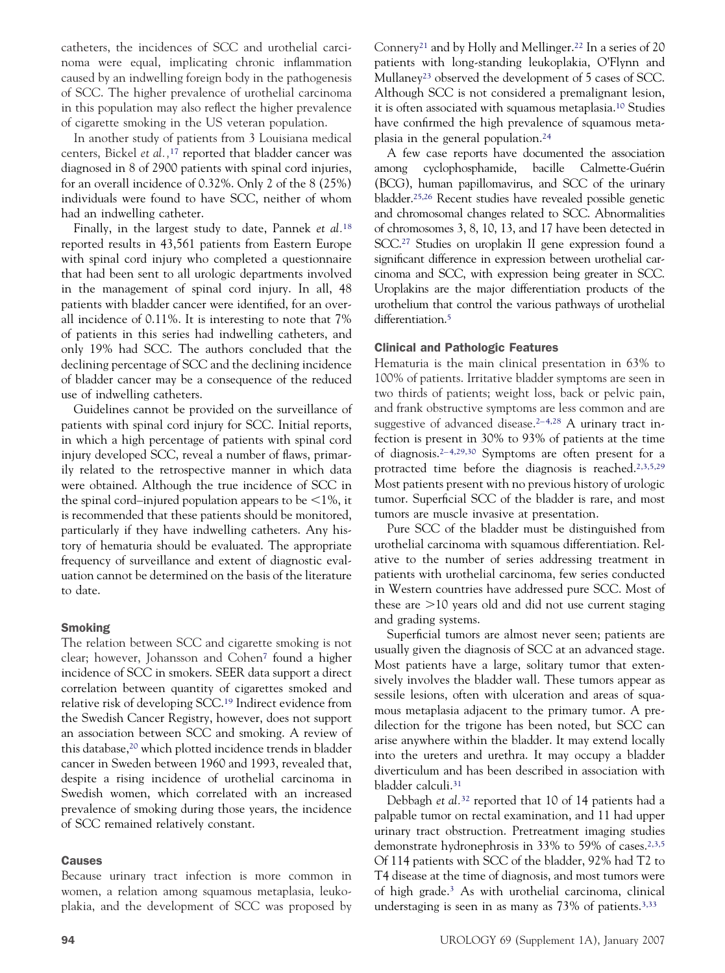catheters, the incidences of SCC and urothelial carcinoma were equal, implicating chronic inflammation caused by an indwelling foreign body in the pathogenesis of SCC. The higher prevalence of urothelial carcinoma in this population may also reflect the higher prevalence of cigarette smoking in the US veteran population.

In another study of patients from 3 Louisiana medical centers, Bickel *et al.,*[17](#page-9-0) reported that bladder cancer was diagnosed in 8 of 2900 patients with spinal cord injuries, for an overall incidence of 0.32%. Only 2 of the 8 (25%) individuals were found to have SCC, neither of whom had an indwelling catheter.

Finally, in the largest study to date, Pannek *et al.*[18](#page-9-0) reported results in 43,561 patients from Eastern Europe with spinal cord injury who completed a questionnaire that had been sent to all urologic departments involved in the management of spinal cord injury. In all, 48 patients with bladder cancer were identified, for an overall incidence of 0.11%. It is interesting to note that 7% of patients in this series had indwelling catheters, and only 19% had SCC. The authors concluded that the declining percentage of SCC and the declining incidence of bladder cancer may be a consequence of the reduced use of indwelling catheters.

Guidelines cannot be provided on the surveillance of patients with spinal cord injury for SCC. Initial reports, in which a high percentage of patients with spinal cord injury developed SCC, reveal a number of flaws, primarily related to the retrospective manner in which data were obtained. Although the true incidence of SCC in the spinal cord–injured population appears to be  $\leq 1\%$ , it is recommended that these patients should be monitored, particularly if they have indwelling catheters. Any history of hematuria should be evaluated. The appropriate frequency of surveillance and extent of diagnostic evaluation cannot be determined on the basis of the literature to date.

## Smoking

The relation between SCC and cigarette smoking is not clear; however, Johansson and Cohe[n7](#page-9-0) found a higher incidence of SCC in smokers. SEER data support a direct correlation between quantity of cigarettes smoked and relative risk of developing SCC[.19](#page-9-0) Indirect evidence from the Swedish Cancer Registry, however, does not support an association between SCC and smoking. A review of this database[,20](#page-9-0) which plotted incidence trends in bladder cancer in Sweden between 1960 and 1993, revealed that, despite a rising incidence of urothelial carcinoma in Swedish women, which correlated with an increased prevalence of smoking during those years, the incidence of SCC remained relatively constant.

#### Causes

Because urinary tract infection is more common in women, a relation among squamous metaplasia, leukoplakia, and the development of SCC was proposed by Connery<sup>21</sup> and by Holly and Mellinger.<sup>22</sup> In a series of 20 patients with long-standing leukoplakia, O'Flynn and Mullaney<sup>23</sup> observed the development of 5 cases of SCC. Although SCC is not considered a premalignant lesion, it is often associated with squamous metaplasia[.10](#page-9-0) Studies have confirmed the high prevalence of squamous metaplasia in the general population[.24](#page-9-0)

A few case reports have documented the association among cyclophosphamide, bacille Calmette-Guérin (BCG), human papillomavirus, and SCC of the urinary bladder[.25,26](#page-9-0) Recent studies have revealed possible genetic and chromosomal changes related to SCC. Abnormalities of chromosomes 3, 8, 10, 13, and 17 have been detected in SCC[.27](#page-10-0) Studies on uroplakin II gene expression found a significant difference in expression between urothelial carcinoma and SCC, with expression being greater in SCC. Uroplakins are the major differentiation products of the urothelium that control the various pathways of urothelial differentiation.<sup>5</sup>

#### Clinical and Pathologic Features

Hematuria is the main clinical presentation in 63% to 100% of patients. Irritative bladder symptoms are seen in two thirds of patients; weight loss, back or pelvic pain, and frank obstructive symptoms are less common and are suggestive of advanced disease.<sup>2-4,28</sup> A urinary tract infection is present in 30% to 93% of patients at the time of diagnosis[.2– 4,29,30](#page-9-0) Symptoms are often present for a protracted time before the diagnosis is reached[.2,3,5,29](#page-9-0) Most patients present with no previous history of urologic tumor. Superficial SCC of the bladder is rare, and most tumors are muscle invasive at presentation.

Pure SCC of the bladder must be distinguished from urothelial carcinoma with squamous differentiation. Relative to the number of series addressing treatment in patients with urothelial carcinoma, few series conducted in Western countries have addressed pure SCC. Most of these are -10 years old and did not use current staging and grading systems.

Superficial tumors are almost never seen; patients are usually given the diagnosis of SCC at an advanced stage. Most patients have a large, solitary tumor that extensively involves the bladder wall. These tumors appear as sessile lesions, often with ulceration and areas of squamous metaplasia adjacent to the primary tumor. A predilection for the trigone has been noted, but SCC can arise anywhere within the bladder. It may extend locally into the ureters and urethra. It may occupy a bladder diverticulum and has been described in association with bladder calculi[.31](#page-10-0)

Debbagh *et al.*[32](#page-10-0) reported that 10 of 14 patients had a palpable tumor on rectal examination, and 11 had upper urinary tract obstruction. Pretreatment imaging studies demonstrate hydronephrosis in 33% to 59% of cases[.2,3,5](#page-9-0) Of 114 patients with SCC of the bladder, 92% had T2 to T4 disease at the time of diagnosis, and most tumors were of high grade[.3](#page-9-0) As with urothelial carcinoma, clinical understaging is seen in as many as 73% of patients.<sup>3,33</sup>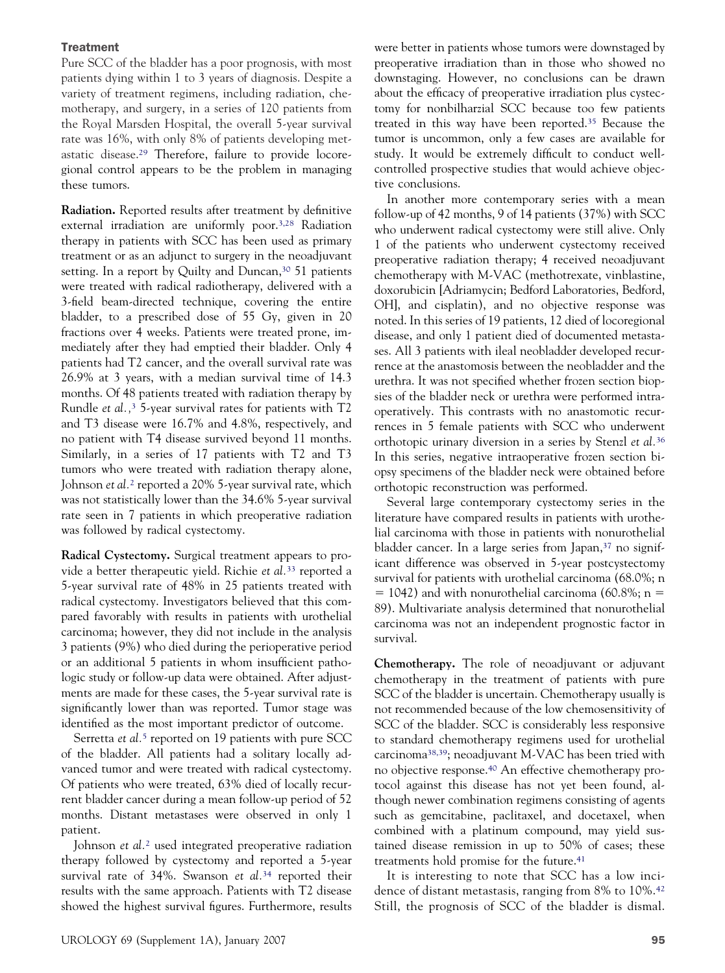#### **Treatment**

Pure SCC of the bladder has a poor prognosis, with most patients dying within 1 to 3 years of diagnosis. Despite a variety of treatment regimens, including radiation, chemotherapy, and surgery, in a series of 120 patients from the Royal Marsden Hospital, the overall 5-year survival rate was 16%, with only 8% of patients developing metastatic disease[.29](#page-10-0) Therefore, failure to provide locoregional control appears to be the problem in managing these tumors.

**Radiation.** Reported results after treatment by definitive external irradiation are uniformly poor[.3,28](#page-9-0) Radiation therapy in patients with SCC has been used as primary treatment or as an adjunct to surgery in the neoadjuvant setting. In a report by Quilty and Duncan,<sup>30</sup> 51 patients were treated with radical radiotherapy, delivered with a 3-field beam-directed technique, covering the entire bladder, to a prescribed dose of 55 Gy, given in 20 fractions over 4 weeks. Patients were treated prone, immediately after they had emptied their bladder. Only 4 patients had T2 cancer, and the overall survival rate was 26.9% at 3 years, with a median survival time of 14.3 months. Of 48 patients treated with radiation therapy by Rundle *et al.,*[3](#page-9-0) 5-year survival rates for patients with T2 and T3 disease were 16.7% and 4.8%, respectively, and no patient with T4 disease survived beyond 11 months. Similarly, in a series of 17 patients with T2 and T3 tumors who were treated with radiation therapy alone, Johnson *et al.*[2](#page-9-0) reported a 20% 5-year survival rate, which was not statistically lower than the 34.6% 5-year survival rate seen in 7 patients in which preoperative radiation was followed by radical cystectomy.

**Radical Cystectomy.** Surgical treatment appears to provide a better therapeutic yield. Richie *et al.*[33](#page-10-0) reported a 5-year survival rate of 48% in 25 patients treated with radical cystectomy. Investigators believed that this compared favorably with results in patients with urothelial carcinoma; however, they did not include in the analysis 3 patients (9%) who died during the perioperative period or an additional 5 patients in whom insufficient pathologic study or follow-up data were obtained. After adjustments are made for these cases, the 5-year survival rate is significantly lower than was reported. Tumor stage was identified as the most important predictor of outcome.

Serretta *et al.*[5](#page-9-0) reported on 19 patients with pure SCC of the bladder. All patients had a solitary locally advanced tumor and were treated with radical cystectomy. Of patients who were treated, 63% died of locally recurrent bladder cancer during a mean follow-up period of 52 months. Distant metastases were observed in only 1 patient.

Johnson *et al.*[2](#page-9-0) used integrated preoperative radiation therapy followed by cystectomy and reported a 5-year survival rate of 34%. Swanson *et al.*[34](#page-10-0) reported their results with the same approach. Patients with T2 disease showed the highest survival figures. Furthermore, results were better in patients whose tumors were downstaged by preoperative irradiation than in those who showed no downstaging. However, no conclusions can be drawn about the efficacy of preoperative irradiation plus cystectomy for nonbilharzial SCC because too few patients treated in this way have been reported[.35](#page-10-0) Because the tumor is uncommon, only a few cases are available for study. It would be extremely difficult to conduct wellcontrolled prospective studies that would achieve objective conclusions.

In another more contemporary series with a mean follow-up of 42 months, 9 of 14 patients (37%) with SCC who underwent radical cystectomy were still alive. Only 1 of the patients who underwent cystectomy received preoperative radiation therapy; 4 received neoadjuvant chemotherapy with M-VAC (methotrexate, vinblastine, doxorubicin [Adriamycin; Bedford Laboratories, Bedford, OH], and cisplatin), and no objective response was noted. In this series of 19 patients, 12 died of locoregional disease, and only 1 patient died of documented metastases. All 3 patients with ileal neobladder developed recurrence at the anastomosis between the neobladder and the urethra. It was not specified whether frozen section biopsies of the bladder neck or urethra were performed intraoperatively. This contrasts with no anastomotic recurrences in 5 female patients with SCC who underwent orthotopic urinary diversion in a series by Stenzl *et al.*[36](#page-10-0) In this series, negative intraoperative frozen section biopsy specimens of the bladder neck were obtained before orthotopic reconstruction was performed.

Several large contemporary cystectomy series in the literature have compared results in patients with urothelial carcinoma with those in patients with nonurothelial bladder cancer. In a large series from Japan,<sup>37</sup> no significant difference was observed in 5-year postcystectomy survival for patients with urothelial carcinoma (68.0%; n  $= 1042$ ) and with nonurothelial carcinoma (60.8%; n = 89). Multivariate analysis determined that nonurothelial carcinoma was not an independent prognostic factor in survival.

**Chemotherapy.** The role of neoadjuvant or adjuvant chemotherapy in the treatment of patients with pure SCC of the bladder is uncertain. Chemotherapy usually is not recommended because of the low chemosensitivity of SCC of the bladder. SCC is considerably less responsive to standard chemotherapy regimens used for urothelial carcinom[a38,39;](#page-10-0) neoadjuvant M-VAC has been tried with no objective response[.40](#page-10-0) An effective chemotherapy protocol against this disease has not yet been found, although newer combination regimens consisting of agents such as gemcitabine, paclitaxel, and docetaxel, when combined with a platinum compound, may yield sustained disease remission in up to 50% of cases; these treatments hold promise for the future.<sup>41</sup>

It is interesting to note that SCC has a low incidence of distant metastasis, ranging from 8% to 10%[.42](#page-10-0) Still, the prognosis of SCC of the bladder is dismal.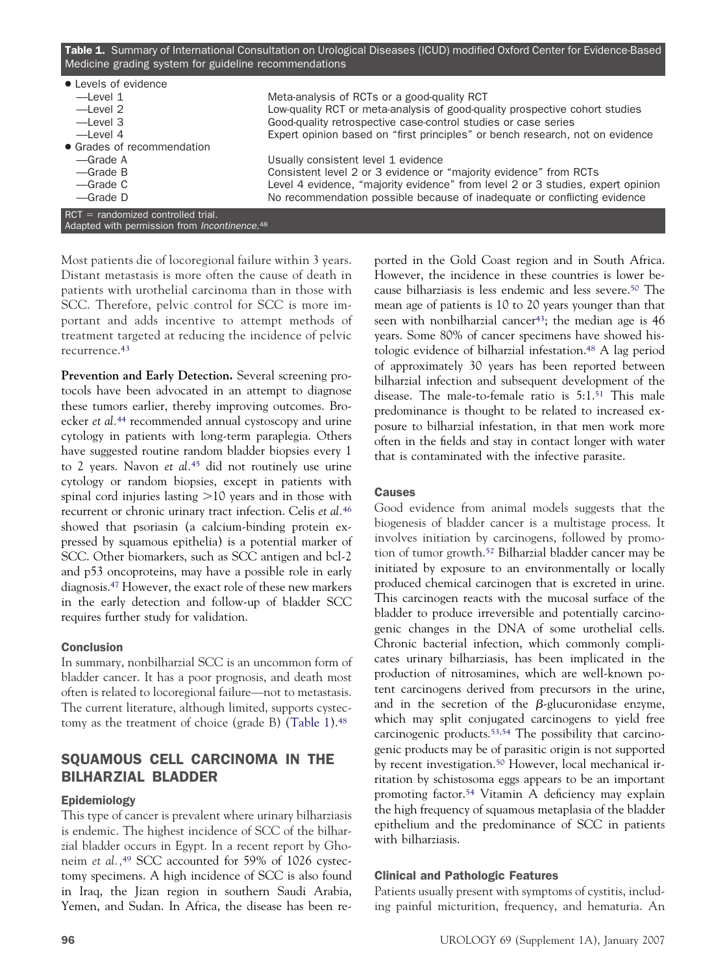<span id="page-3-0"></span>

| Table 1. Summary of International Consultation on Urological Diseases (ICUD) modified Oxford Center for Evidence-Based<br>Medicine grading system for guideline recommendations |                                                                                 |  |
|---------------------------------------------------------------------------------------------------------------------------------------------------------------------------------|---------------------------------------------------------------------------------|--|
| • Levels of evidence                                                                                                                                                            |                                                                                 |  |
| $-$ l evel 1                                                                                                                                                                    | Meta-analysis of RCTs or a good-quality RCT                                     |  |
| $-\text{Level } 2$                                                                                                                                                              | Low-quality RCT or meta-analysis of good-quality prospective cohort studies     |  |
| $-\text{Level }3$                                                                                                                                                               | Good-quality retrospective case-control studies or case series                  |  |
| $-$ l evel 4                                                                                                                                                                    | Expert opinion based on "first principles" or bench research, not on evidence   |  |
| • Grades of recommendation                                                                                                                                                      |                                                                                 |  |
| -Grade A                                                                                                                                                                        | Usually consistent level 1 evidence                                             |  |
| $-\text{Grade}$ B                                                                                                                                                               | Consistent level 2 or 3 evidence or "majority evidence" from RCTs               |  |
| —Grade C                                                                                                                                                                        | Level 4 evidence, "majority evidence" from level 2 or 3 studies, expert opinion |  |
| $-\text{Grade}$ D                                                                                                                                                               | No recommendation possible because of inadequate or conflicting evidence        |  |
|                                                                                                                                                                                 |                                                                                 |  |
| $RCT = randomized controlled trial.$<br>Adapted with permission from <i>Incontinence</i> . <sup>48</sup>                                                                        |                                                                                 |  |

Most patients die of locoregional failure within 3 years. Distant metastasis is more often the cause of death in patients with urothelial carcinoma than in those with SCC. Therefore, pelvic control for SCC is more important and adds incentive to attempt methods of treatment targeted at reducing the incidence of pelvic recurrence[.43](#page-10-0)

**Prevention and Early Detection.** Several screening protocols have been advocated in an attempt to diagnose these tumors earlier, thereby improving outcomes. Broecker *et al.*[44](#page-10-0) recommended annual cystoscopy and urine cytology in patients with long-term paraplegia. Others have suggested routine random bladder biopsies every 1 to 2 years. Navon *et al.*[45](#page-10-0) did not routinely use urine cytology or random biopsies, except in patients with spinal cord injuries lasting >10 years and in those with recurrent or chronic urinary tract infection. Celis *et al.*[46](#page-10-0) showed that psoriasin (a calcium-binding protein expressed by squamous epithelia) is a potential marker of SCC. Other biomarkers, such as SCC antigen and bcl-2 and p53 oncoproteins, may have a possible role in early diagnosis[.47](#page-10-0) However, the exact role of these new markers in the early detection and follow-up of bladder SCC requires further study for validation.

## Conclusion

In summary, nonbilharzial SCC is an uncommon form of bladder cancer. It has a poor prognosis, and death most often is related to locoregional failure—not to metastasis. The current literature, although limited, supports cystectomy as the treatment of choice (grade B) (Table 1)[.48](#page-10-0)

# SQUAMOUS CELL CARCINOMA IN THE BILHARZIAL BLADDER

## Epidemiology

This type of cancer is prevalent where urinary bilharziasis is endemic. The highest incidence of SCC of the bilharzial bladder occurs in Egypt. In a recent report by Ghoneim *et al.,*[49](#page-10-0) SCC accounted for 59% of 1026 cystectomy specimens. A high incidence of SCC is also found in Iraq, the Jizan region in southern Saudi Arabia, Yemen, and Sudan. In Africa, the disease has been reported in the Gold Coast region and in South Africa. However, the incidence in these countries is lower because bilharziasis is less endemic and less severe[.50](#page-10-0) The mean age of patients is 10 to 20 years younger than that seen with nonbilharzial cancer<sup>43</sup>; the median age is 46 years. Some 80% of cancer specimens have showed histologic evidence of bilharzial infestation[.48](#page-10-0) A lag period of approximately 30 years has been reported between bilharzial infection and subsequent development of the disease. The male-to-female ratio is 5:1[.51](#page-10-0) This male predominance is thought to be related to increased exposure to bilharzial infestation, in that men work more often in the fields and stay in contact longer with water that is contaminated with the infective parasite.

## Causes

Good evidence from animal models suggests that the biogenesis of bladder cancer is a multistage process. It involves initiation by carcinogens, followed by promotion of tumor growth[.52](#page-10-0) Bilharzial bladder cancer may be initiated by exposure to an environmentally or locally produced chemical carcinogen that is excreted in urine. This carcinogen reacts with the mucosal surface of the bladder to produce irreversible and potentially carcinogenic changes in the DNA of some urothelial cells. Chronic bacterial infection, which commonly complicates urinary bilharziasis, has been implicated in the production of nitrosamines, which are well-known potent carcinogens derived from precursors in the urine, and in the secretion of the  $\beta$ -glucuronidase enzyme, which may split conjugated carcinogens to yield free carcinogenic products[.53,54](#page-10-0) The possibility that carcinogenic products may be of parasitic origin is not supported by recent investigation.<sup>50</sup> However, local mechanical irritation by schistosoma eggs appears to be an important promoting factor[.54](#page-10-0) Vitamin A deficiency may explain the high frequency of squamous metaplasia of the bladder epithelium and the predominance of SCC in patients with bilharziasis.

# Clinical and Pathologic Features

Patients usually present with symptoms of cystitis, including painful micturition, frequency, and hematuria. An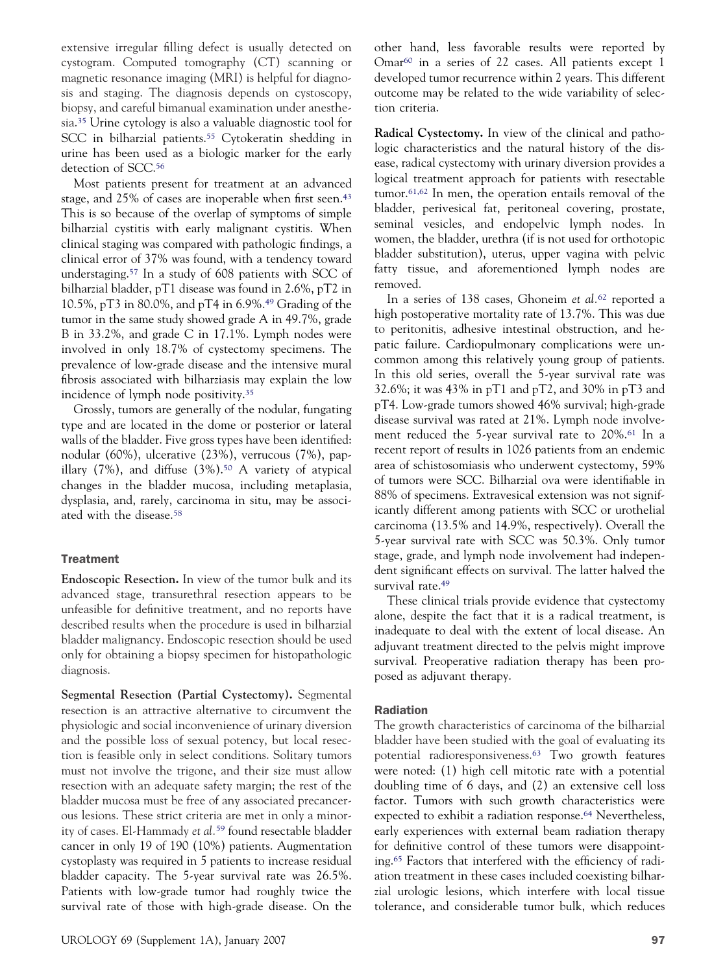extensive irregular filling defect is usually detected on cystogram. Computed tomography (CT) scanning or magnetic resonance imaging (MRI) is helpful for diagnosis and staging. The diagnosis depends on cystoscopy, biopsy, and careful bimanual examination under anesthesia[.35](#page-10-0) Urine cytology is also a valuable diagnostic tool for SCC in bilharzial patients.<sup>55</sup> Cytokeratin shedding in urine has been used as a biologic marker for the early detection of SCC.<sup>56</sup>

Most patients present for treatment at an advanced stage, and 25% of cases are inoperable when first seen[.43](#page-10-0) This is so because of the overlap of symptoms of simple bilharzial cystitis with early malignant cystitis. When clinical staging was compared with pathologic findings, a clinical error of 37% was found, with a tendency toward understaging[.57](#page-10-0) In a study of 608 patients with SCC of bilharzial bladder, pT1 disease was found in 2.6%, pT2 in 10.5%, pT3 in 80.0%, and pT4 in 6.9%[.49](#page-10-0) Grading of the tumor in the same study showed grade A in 49.7%, grade B in 33.2%, and grade C in 17.1%. Lymph nodes were involved in only 18.7% of cystectomy specimens. The prevalence of low-grade disease and the intensive mural fibrosis associated with bilharziasis may explain the low incidence of lymph node positivity[.35](#page-10-0)

Grossly, tumors are generally of the nodular, fungating type and are located in the dome or posterior or lateral walls of the bladder. Five gross types have been identified: nodular (60%), ulcerative (23%), verrucous (7%), papillary  $(7\%)$ , and diffuse  $(3\%)$ .<sup>50</sup> A variety of atypical changes in the bladder mucosa, including metaplasia, dysplasia, and, rarely, carcinoma in situ, may be associated with the disease[.58](#page-10-0)

#### Treatment

**Endoscopic Resection.** In view of the tumor bulk and its advanced stage, transurethral resection appears to be unfeasible for definitive treatment, and no reports have described results when the procedure is used in bilharzial bladder malignancy. Endoscopic resection should be used only for obtaining a biopsy specimen for histopathologic diagnosis.

**Segmental Resection (Partial Cystectomy).** Segmental resection is an attractive alternative to circumvent the physiologic and social inconvenience of urinary diversion and the possible loss of sexual potency, but local resection is feasible only in select conditions. Solitary tumors must not involve the trigone, and their size must allow resection with an adequate safety margin; the rest of the bladder mucosa must be free of any associated precancerous lesions. These strict criteria are met in only a minority of cases. El-Hammady *et al.*[59](#page-10-0) found resectable bladder cancer in only 19 of 190 (10%) patients. Augmentation cystoplasty was required in 5 patients to increase residual bladder capacity. The 5-year survival rate was 26.5%. Patients with low-grade tumor had roughly twice the survival rate of those with high-grade disease. On the other hand, less favorable results were reported by Omar $60$  in a series of 22 cases. All patients except 1 developed tumor recurrence within 2 years. This different outcome may be related to the wide variability of selection criteria.

**Radical Cystectomy.** In view of the clinical and pathologic characteristics and the natural history of the disease, radical cystectomy with urinary diversion provides a logical treatment approach for patients with resectable tumor[.61,62](#page-10-0) In men, the operation entails removal of the bladder, perivesical fat, peritoneal covering, prostate, seminal vesicles, and endopelvic lymph nodes. In women, the bladder, urethra (if is not used for orthotopic bladder substitution), uterus, upper vagina with pelvic fatty tissue, and aforementioned lymph nodes are removed.

In a series of 138 cases, Ghoneim *et al.*[62](#page-10-0) reported a high postoperative mortality rate of 13.7%. This was due to peritonitis, adhesive intestinal obstruction, and hepatic failure. Cardiopulmonary complications were uncommon among this relatively young group of patients. In this old series, overall the 5-year survival rate was 32.6%; it was 43% in pT1 and pT2, and 30% in pT3 and pT4. Low-grade tumors showed 46% survival; high-grade disease survival was rated at 21%. Lymph node involvement reduced the 5-year survival rate to 20%[.61](#page-10-0) In a recent report of results in 1026 patients from an endemic area of schistosomiasis who underwent cystectomy, 59% of tumors were SCC. Bilharzial ova were identifiable in 88% of specimens. Extravesical extension was not significantly different among patients with SCC or urothelial carcinoma (13.5% and 14.9%, respectively). Overall the 5-year survival rate with SCC was 50.3%. Only tumor stage, grade, and lymph node involvement had independent significant effects on survival. The latter halved the survival rate.<sup>49</sup>

These clinical trials provide evidence that cystectomy alone, despite the fact that it is a radical treatment, is inadequate to deal with the extent of local disease. An adjuvant treatment directed to the pelvis might improve survival. Preoperative radiation therapy has been proposed as adjuvant therapy.

## Radiation

The growth characteristics of carcinoma of the bilharzial bladder have been studied with the goal of evaluating its potential radioresponsiveness[.63](#page-10-0) Two growth features were noted: (1) high cell mitotic rate with a potential doubling time of 6 days, and (2) an extensive cell loss factor. Tumors with such growth characteristics were expected to exhibit a radiation response.<sup>64</sup> Nevertheless, early experiences with external beam radiation therapy for definitive control of these tumors were disappointing[.65](#page-10-0) Factors that interfered with the efficiency of radiation treatment in these cases included coexisting bilharzial urologic lesions, which interfere with local tissue tolerance, and considerable tumor bulk, which reduces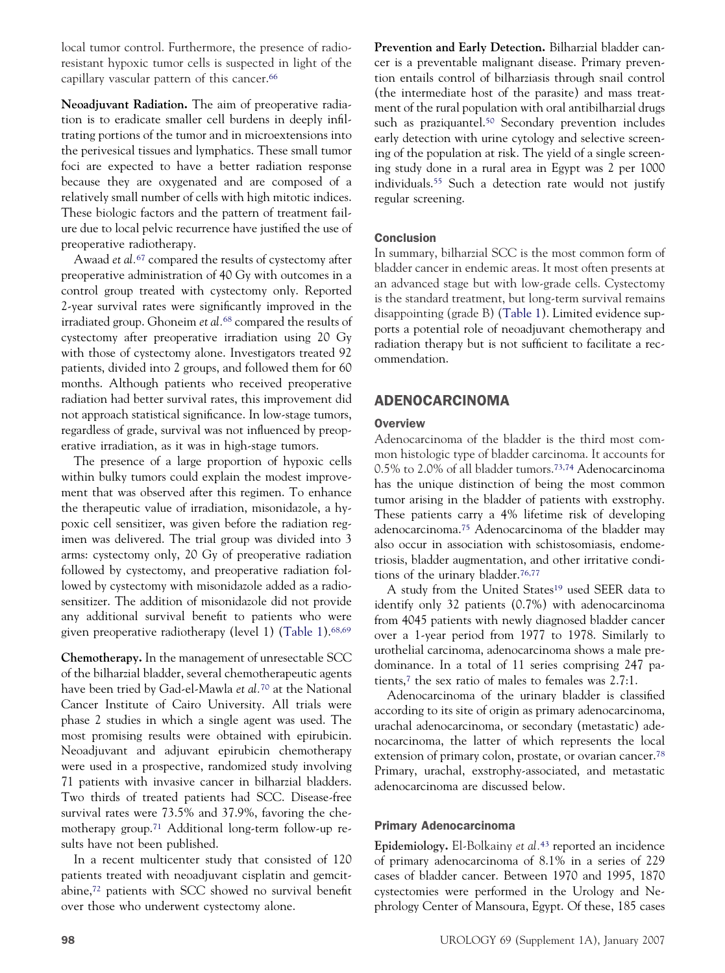local tumor control. Furthermore, the presence of radioresistant hypoxic tumor cells is suspected in light of the capillary vascular pattern of this cancer.<sup>66</sup>

**Neoadjuvant Radiation.** The aim of preoperative radiation is to eradicate smaller cell burdens in deeply infiltrating portions of the tumor and in microextensions into the perivesical tissues and lymphatics. These small tumor foci are expected to have a better radiation response because they are oxygenated and are composed of a relatively small number of cells with high mitotic indices. These biologic factors and the pattern of treatment failure due to local pelvic recurrence have justified the use of preoperative radiotherapy.

Awaad *et al.*[67](#page-10-0) compared the results of cystectomy after preoperative administration of 40 Gy with outcomes in a control group treated with cystectomy only. Reported 2-year survival rates were significantly improved in the irradiated group. Ghoneim *et al.*[68](#page-10-0) compared the results of cystectomy after preoperative irradiation using 20 Gy with those of cystectomy alone. Investigators treated 92 patients, divided into 2 groups, and followed them for 60 months. Although patients who received preoperative radiation had better survival rates, this improvement did not approach statistical significance. In low-stage tumors, regardless of grade, survival was not influenced by preoperative irradiation, as it was in high-stage tumors.

The presence of a large proportion of hypoxic cells within bulky tumors could explain the modest improvement that was observed after this regimen. To enhance the therapeutic value of irradiation, misonidazole, a hypoxic cell sensitizer, was given before the radiation regimen was delivered. The trial group was divided into 3 arms: cystectomy only, 20 Gy of preoperative radiation followed by cystectomy, and preoperative radiation followed by cystectomy with misonidazole added as a radiosensitizer. The addition of misonidazole did not provide any additional survival benefit to patients who were given preoperative radiotherapy (level 1) [\(Table 1\)](#page-3-0)[.68,69](#page-10-0)

**Chemotherapy.** In the management of unresectable SCC of the bilharzial bladder, several chemotherapeutic agents have been tried by Gad-el-Mawla *et al.*[70](#page-10-0) at the National Cancer Institute of Cairo University. All trials were phase 2 studies in which a single agent was used. The most promising results were obtained with epirubicin. Neoadjuvant and adjuvant epirubicin chemotherapy were used in a prospective, randomized study involving 71 patients with invasive cancer in bilharzial bladders. Two thirds of treated patients had SCC. Disease-free survival rates were 73.5% and 37.9%, favoring the chemotherapy group[.71](#page-10-0) Additional long-term follow-up results have not been published.

In a recent multicenter study that consisted of 120 patients treated with neoadjuvant cisplatin and gemcitabine[,72](#page-10-0) patients with SCC showed no survival benefit over those who underwent cystectomy alone.

**Prevention and Early Detection.** Bilharzial bladder cancer is a preventable malignant disease. Primary prevention entails control of bilharziasis through snail control (the intermediate host of the parasite) and mass treatment of the rural population with oral antibilharzial drugs such as praziquantel.<sup>50</sup> Secondary prevention includes early detection with urine cytology and selective screening of the population at risk. The yield of a single screening study done in a rural area in Egypt was 2 per 1000 individuals[.55](#page-10-0) Such a detection rate would not justify regular screening.

# Conclusion

In summary, bilharzial SCC is the most common form of bladder cancer in endemic areas. It most often presents at an advanced stage but with low-grade cells. Cystectomy is the standard treatment, but long-term survival remains disappointing (grade B) [\(Table 1\)](#page-3-0). Limited evidence supports a potential role of neoadjuvant chemotherapy and radiation therapy but is not sufficient to facilitate a recommendation.

# ADENOCARCINOMA

# **Overview**

Adenocarcinoma of the bladder is the third most common histologic type of bladder carcinoma. It accounts for 0.5% to 2.0% of all bladder tumors[.73,74](#page-11-0) Adenocarcinoma has the unique distinction of being the most common tumor arising in the bladder of patients with exstrophy. These patients carry a 4% lifetime risk of developing adenocarcinoma[.75](#page-11-0) Adenocarcinoma of the bladder may also occur in association with schistosomiasis, endometriosis, bladder augmentation, and other irritative conditions of the urinary bladder[.76,77](#page-11-0)

A study from the United States<sup>19</sup> used SEER data to identify only 32 patients (0.7%) with adenocarcinoma from 4045 patients with newly diagnosed bladder cancer over a 1-year period from 1977 to 1978. Similarly to urothelial carcinoma, adenocarcinoma shows a male predominance. In a total of 11 series comprising 247 patients[,7](#page-9-0) the sex ratio of males to females was 2.7:1.

Adenocarcinoma of the urinary bladder is classified according to its site of origin as primary adenocarcinoma, urachal adenocarcinoma, or secondary (metastatic) adenocarcinoma, the latter of which represents the local extension of primary colon, prostate, or ovarian cancer.<sup>78</sup> Primary, urachal, exstrophy-associated, and metastatic adenocarcinoma are discussed below.

## Primary Adenocarcinoma

**Epidemiology.** El-Bolkainy *et al.*[43](#page-10-0) reported an incidence of primary adenocarcinoma of 8.1% in a series of 229 cases of bladder cancer. Between 1970 and 1995, 1870 cystectomies were performed in the Urology and Nephrology Center of Mansoura, Egypt. Of these, 185 cases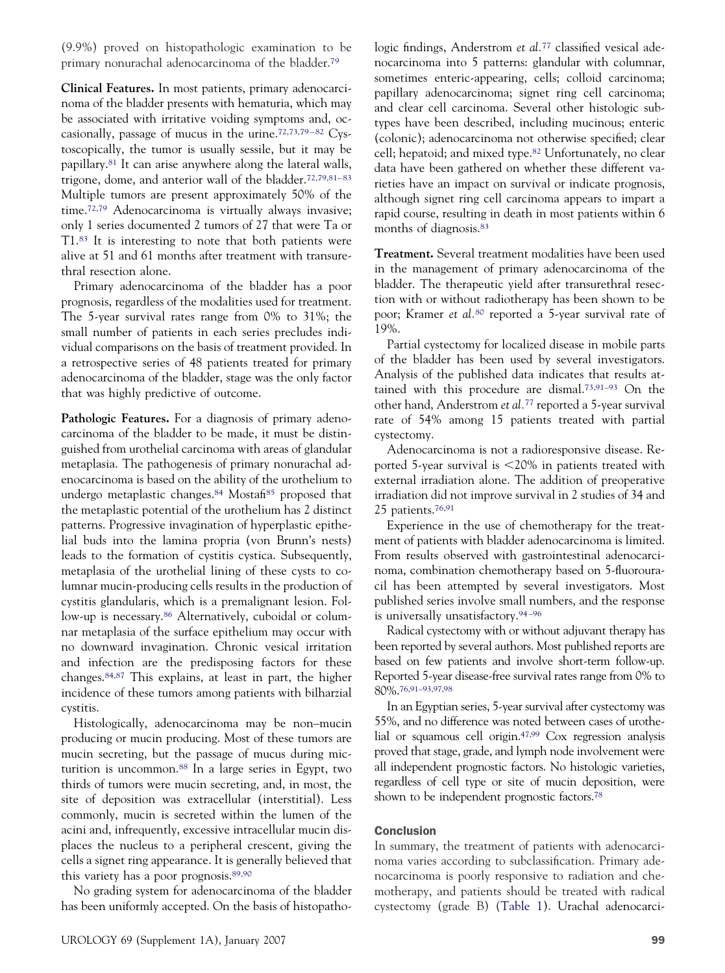(9.9%) proved on histopathologic examination to be primary nonurachal adenocarcinoma of the bladder[.79](#page-11-0)

**Clinical Features.** In most patients, primary adenocarcinoma of the bladder presents with hematuria, which may be associated with irritative voiding symptoms and, occasionally, passage of mucus in the urine. $72,73,79-82$  Cystoscopically, the tumor is usually sessile, but it may be papillary[.81](#page-11-0) It can arise anywhere along the lateral walls, trigone, dome, and anterior wall of the bladder.<sup>72,79,81-83</sup> Multiple tumors are present approximately 50% of the time[.72,79](#page-10-0) Adenocarcinoma is virtually always invasive; only 1 series documented 2 tumors of 27 that were Ta or T1[.83](#page-11-0) It is interesting to note that both patients were alive at 51 and 61 months after treatment with transurethral resection alone.

Primary adenocarcinoma of the bladder has a poor prognosis, regardless of the modalities used for treatment. The 5-year survival rates range from 0% to 31%; the small number of patients in each series precludes individual comparisons on the basis of treatment provided. In a retrospective series of 48 patients treated for primary adenocarcinoma of the bladder, stage was the only factor that was highly predictive of outcome.

Pathologic Features. For a diagnosis of primary adenocarcinoma of the bladder to be made, it must be distinguished from urothelial carcinoma with areas of glandular metaplasia. The pathogenesis of primary nonurachal adenocarcinoma is based on the ability of the urothelium to undergo metaplastic changes[.84](#page-11-0) Mosta[fi85](#page-11-0) proposed that the metaplastic potential of the urothelium has 2 distinct patterns. Progressive invagination of hyperplastic epithelial buds into the lamina propria (von Brunn's nests) leads to the formation of cystitis cystica. Subsequently, metaplasia of the urothelial lining of these cysts to columnar mucin-producing cells results in the production of cystitis glandularis, which is a premalignant lesion. Follow-up is necessary.<sup>86</sup> Alternatively, cuboidal or columnar metaplasia of the surface epithelium may occur with no downward invagination. Chronic vesical irritation and infection are the predisposing factors for these changes[.84,87](#page-11-0) This explains, at least in part, the higher incidence of these tumors among patients with bilharzial cystitis.

Histologically, adenocarcinoma may be non–mucin producing or mucin producing. Most of these tumors are mucin secreting, but the passage of mucus during micturition is uncommon[.88](#page-11-0) In a large series in Egypt, two thirds of tumors were mucin secreting, and, in most, the site of deposition was extracellular (interstitial). Less commonly, mucin is secreted within the lumen of the acini and, infrequently, excessive intracellular mucin displaces the nucleus to a peripheral crescent, giving the cells a signet ring appearance. It is generally believed that this variety has a poor prognosis[.89,90](#page-11-0)

No grading system for adenocarcinoma of the bladder has been uniformly accepted. On the basis of histopathologic findings, Anderstrom *et al.*<sup>[77](#page-11-0)</sup> classified vesical adenocarcinoma into 5 patterns: glandular with columnar, sometimes enteric-appearing, cells; colloid carcinoma; papillary adenocarcinoma; signet ring cell carcinoma; and clear cell carcinoma. Several other histologic subtypes have been described, including mucinous; enteric (colonic); adenocarcinoma not otherwise specified; clear cell; hepatoid; and mixed type[.82](#page-11-0) Unfortunately, no clear data have been gathered on whether these different varieties have an impact on survival or indicate prognosis, although signet ring cell carcinoma appears to impart a rapid course, resulting in death in most patients within 6 months of diagnosis[.83](#page-11-0)

**Treatment.** Several treatment modalities have been used in the management of primary adenocarcinoma of the bladder. The therapeutic yield after transurethral resection with or without radiotherapy has been shown to be poor; Kramer *et al.*[80](#page-11-0) reported a 5-year survival rate of 19%.

Partial cystectomy for localized disease in mobile parts of the bladder has been used by several investigators. Analysis of the published data indicates that results attained with this procedure are dismal[.73,91–93](#page-11-0) On the other hand, Anderstrom *et al.*[77](#page-11-0) reported a 5-year survival rate of 54% among 15 patients treated with partial cystectomy.

Adenocarcinoma is not a radioresponsive disease. Reported 5-year survival is 20% in patients treated with external irradiation alone. The addition of preoperative irradiation did not improve survival in 2 studies of 34 and 25 patients[.76,91](#page-11-0)

Experience in the use of chemotherapy for the treatment of patients with bladder adenocarcinoma is limited. From results observed with gastrointestinal adenocarcinoma, combination chemotherapy based on 5-fluorouracil has been attempted by several investigators. Most published series involve small numbers, and the response is universally unsatisfactory.<sup>94-96</sup>

Radical cystectomy with or without adjuvant therapy has been reported by several authors. Most published reports are based on few patients and involve short-term follow-up. Reported 5-year disease-free survival rates range from 0% to 80%[.76,91–93,97,98](#page-11-0)

In an Egyptian series, 5-year survival after cystectomy was 55%, and no difference was noted between cases of urothelial or squamous cell origin[.47,99](#page-10-0) Cox regression analysis proved that stage, grade, and lymph node involvement were all independent prognostic factors. No histologic varieties, regardless of cell type or site of mucin deposition, were shown to be independent prognostic factors[.78](#page-11-0)

## **Conclusion**

In summary, the treatment of patients with adenocarcinoma varies according to subclassification. Primary adenocarcinoma is poorly responsive to radiation and chemotherapy, and patients should be treated with radical cystectomy (grade B) [\(Table 1\)](#page-3-0). Urachal adenocarci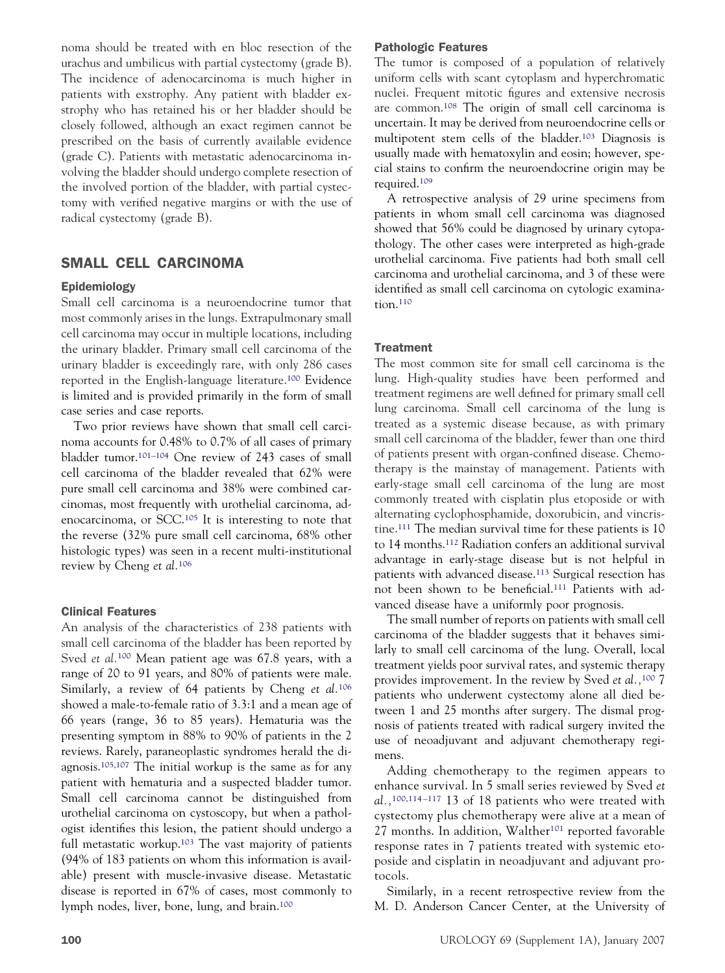noma should be treated with en bloc resection of the urachus and umbilicus with partial cystectomy (grade B). The incidence of adenocarcinoma is much higher in patients with exstrophy. Any patient with bladder exstrophy who has retained his or her bladder should be closely followed, although an exact regimen cannot be prescribed on the basis of currently available evidence (grade C). Patients with metastatic adenocarcinoma involving the bladder should undergo complete resection of the involved portion of the bladder, with partial cystectomy with verified negative margins or with the use of radical cystectomy (grade B).

# SMALL CELL CARCINOMA

#### Epidemiology

Small cell carcinoma is a neuroendocrine tumor that most commonly arises in the lungs. Extrapulmonary small cell carcinoma may occur in multiple locations, including the urinary bladder. Primary small cell carcinoma of the urinary bladder is exceedingly rare, with only 286 cases reported in the English-language literature[.100](#page-11-0) Evidence is limited and is provided primarily in the form of small case series and case reports.

Two prior reviews have shown that small cell carcinoma accounts for 0.48% to 0.7% of all cases of primary bladder tumor[.101–104](#page-11-0) One review of 243 cases of small cell carcinoma of the bladder revealed that 62% were pure small cell carcinoma and 38% were combined carcinomas, most frequently with urothelial carcinoma, adenocarcinoma, or SCC[.105](#page-11-0) It is interesting to note that the reverse (32% pure small cell carcinoma, 68% other histologic types) was seen in a recent multi-institutional review by Cheng *et al.*[106](#page-11-0)

#### Clinical Features

An analysis of the characteristics of 238 patients with small cell carcinoma of the bladder has been reported by Sved *et al.*[100](#page-11-0) Mean patient age was 67.8 years, with a range of 20 to 91 years, and 80% of patients were male. Similarly, a review of 64 patients by Cheng *et al.*[106](#page-11-0) showed a male-to-female ratio of 3.3:1 and a mean age of 66 years (range, 36 to 85 years). Hematuria was the presenting symptom in 88% to 90% of patients in the 2 reviews. Rarely, paraneoplastic syndromes herald the diagnosis[.105,107](#page-11-0) The initial workup is the same as for any patient with hematuria and a suspected bladder tumor. Small cell carcinoma cannot be distinguished from urothelial carcinoma on cystoscopy, but when a pathologist identifies this lesion, the patient should undergo a full metastatic workup.<sup>103</sup> The vast majority of patients (94% of 183 patients on whom this information is available) present with muscle-invasive disease. Metastatic disease is reported in 67% of cases, most commonly to lymph nodes, liver, bone, lung, and brain[.100](#page-11-0)

The tumor is composed of a population of relatively uniform cells with scant cytoplasm and hyperchromatic nuclei. Frequent mitotic figures and extensive necrosis are common[.108](#page-11-0) The origin of small cell carcinoma is uncertain. It may be derived from neuroendocrine cells or multipotent stem cells of the bladder[.103](#page-11-0) Diagnosis is usually made with hematoxylin and eosin; however, special stains to confirm the neuroendocrine origin may be required[.109](#page-11-0)

A retrospective analysis of 29 urine specimens from patients in whom small cell carcinoma was diagnosed showed that 56% could be diagnosed by urinary cytopathology. The other cases were interpreted as high-grade urothelial carcinoma. Five patients had both small cell carcinoma and urothelial carcinoma, and 3 of these were identified as small cell carcinoma on cytologic examination[.110](#page-11-0)

#### **Treatment**

The most common site for small cell carcinoma is the lung. High-quality studies have been performed and treatment regimens are well defined for primary small cell lung carcinoma. Small cell carcinoma of the lung is treated as a systemic disease because, as with primary small cell carcinoma of the bladder, fewer than one third of patients present with organ-confined disease. Chemotherapy is the mainstay of management. Patients with early-stage small cell carcinoma of the lung are most commonly treated with cisplatin plus etoposide or with alternating cyclophosphamide, doxorubicin, and vincristine[.111](#page-11-0) The median survival time for these patients is 10 to 14 months[.112](#page-11-0) Radiation confers an additional survival advantage in early-stage disease but is not helpful in patients with advanced disease[.113](#page-11-0) Surgical resection has not been shown to be beneficial[.111](#page-11-0) Patients with advanced disease have a uniformly poor prognosis.

The small number of reports on patients with small cell carcinoma of the bladder suggests that it behaves similarly to small cell carcinoma of the lung. Overall, local treatment yields poor survival rates, and systemic therapy provides improvement. In the review by Sved *et al.,*[100](#page-11-0) 7 patients who underwent cystectomy alone all died between 1 and 25 months after surgery. The dismal prognosis of patients treated with radical surgery invited the use of neoadjuvant and adjuvant chemotherapy regimens.

Adding chemotherapy to the regimen appears to enhance survival. In 5 small series reviewed by Sved *et al.,*[100,114 –117](#page-11-0) 13 of 18 patients who were treated with cystectomy plus chemotherapy were alive at a mean of 27 months. In addition, Walther<sup>101</sup> reported favorable response rates in 7 patients treated with systemic etoposide and cisplatin in neoadjuvant and adjuvant protocols.

Similarly, in a recent retrospective review from the M. D. Anderson Cancer Center, at the University of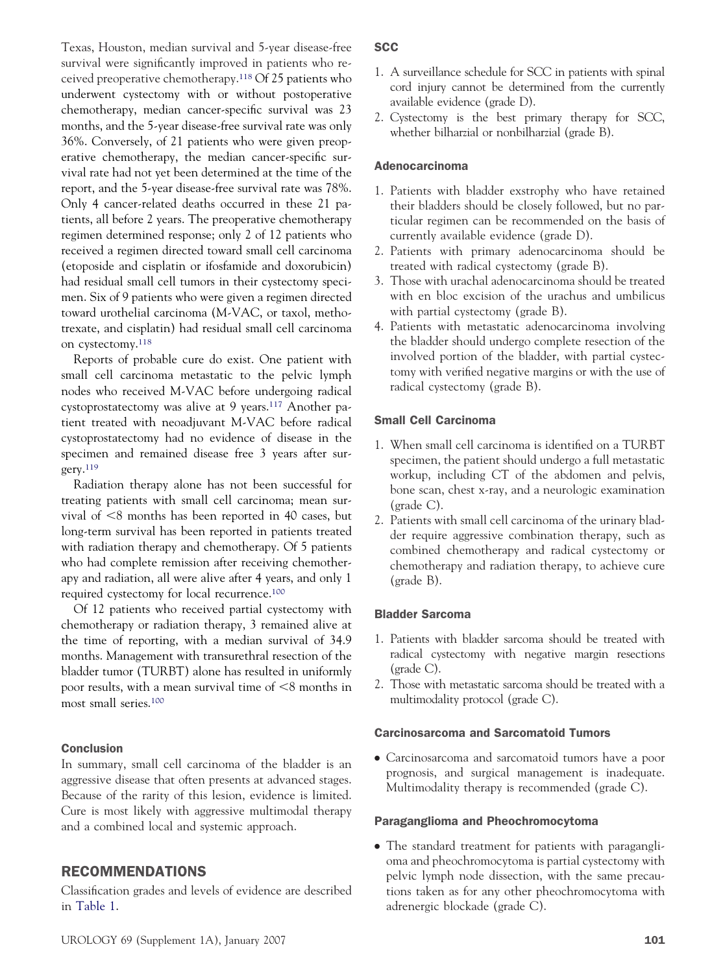Texas, Houston, median survival and 5-year disease-free survival were significantly improved in patients who received preoperative chemotherapy[.118](#page-11-0) Of 25 patients who underwent cystectomy with or without postoperative chemotherapy, median cancer-specific survival was 23 months, and the 5-year disease-free survival rate was only 36%. Conversely, of 21 patients who were given preoperative chemotherapy, the median cancer-specific survival rate had not yet been determined at the time of the report, and the 5-year disease-free survival rate was 78%. Only 4 cancer-related deaths occurred in these 21 patients, all before 2 years. The preoperative chemotherapy regimen determined response; only 2 of 12 patients who received a regimen directed toward small cell carcinoma (etoposide and cisplatin or ifosfamide and doxorubicin) had residual small cell tumors in their cystectomy specimen. Six of 9 patients who were given a regimen directed toward urothelial carcinoma (M-VAC, or taxol, methotrexate, and cisplatin) had residual small cell carcinoma on cystectomy[.118](#page-11-0)

Reports of probable cure do exist. One patient with small cell carcinoma metastatic to the pelvic lymph nodes who received M-VAC before undergoing radical cystoprostatectomy was alive at 9 years[.117](#page-11-0) Another patient treated with neoadjuvant M-VAC before radical cystoprostatectomy had no evidence of disease in the specimen and remained disease free 3 years after surgery[.119](#page-11-0)

Radiation therapy alone has not been successful for treating patients with small cell carcinoma; mean survival of  $\leq 8$  months has been reported in 40 cases, but long-term survival has been reported in patients treated with radiation therapy and chemotherapy. Of 5 patients who had complete remission after receiving chemotherapy and radiation, all were alive after 4 years, and only 1 required cystectomy for local recurrence[.100](#page-11-0)

Of 12 patients who received partial cystectomy with chemotherapy or radiation therapy, 3 remained alive at the time of reporting, with a median survival of 34.9 months. Management with transurethral resection of the bladder tumor (TURBT) alone has resulted in uniformly poor results, with a mean survival time of  $\leq 8$  months in most small series[.100](#page-11-0)

## Conclusion

In summary, small cell carcinoma of the bladder is an aggressive disease that often presents at advanced stages. Because of the rarity of this lesion, evidence is limited. Cure is most likely with aggressive multimodal therapy and a combined local and systemic approach.

# RECOMMENDATIONS

Classification grades and levels of evidence are described in [Table 1.](#page-3-0)

# **SCC**

- 1. A surveillance schedule for SCC in patients with spinal cord injury cannot be determined from the currently available evidence (grade D).
- 2. Cystectomy is the best primary therapy for SCC, whether bilharzial or nonbilharzial (grade B).

# Adenocarcinoma

- 1. Patients with bladder exstrophy who have retained their bladders should be closely followed, but no particular regimen can be recommended on the basis of currently available evidence (grade D).
- 2. Patients with primary adenocarcinoma should be treated with radical cystectomy (grade B).
- 3. Those with urachal adenocarcinoma should be treated with en bloc excision of the urachus and umbilicus with partial cystectomy (grade B).
- 4. Patients with metastatic adenocarcinoma involving the bladder should undergo complete resection of the involved portion of the bladder, with partial cystectomy with verified negative margins or with the use of radical cystectomy (grade B).

# Small Cell Carcinoma

- 1. When small cell carcinoma is identified on a TURBT specimen, the patient should undergo a full metastatic workup, including CT of the abdomen and pelvis, bone scan, chest x-ray, and a neurologic examination (grade C).
- 2. Patients with small cell carcinoma of the urinary bladder require aggressive combination therapy, such as combined chemotherapy and radical cystectomy or chemotherapy and radiation therapy, to achieve cure (grade B).

## Bladder Sarcoma

- 1. Patients with bladder sarcoma should be treated with radical cystectomy with negative margin resections (grade C).
- 2. Those with metastatic sarcoma should be treated with a multimodality protocol (grade C).

#### Carcinosarcoma and Sarcomatoid Tumors

● Carcinosarcoma and sarcomatoid tumors have a poor prognosis, and surgical management is inadequate. Multimodality therapy is recommended (grade C).

#### Paraganglioma and Pheochromocytoma

• The standard treatment for patients with paraganglioma and pheochromocytoma is partial cystectomy with pelvic lymph node dissection, with the same precautions taken as for any other pheochromocytoma with adrenergic blockade (grade C).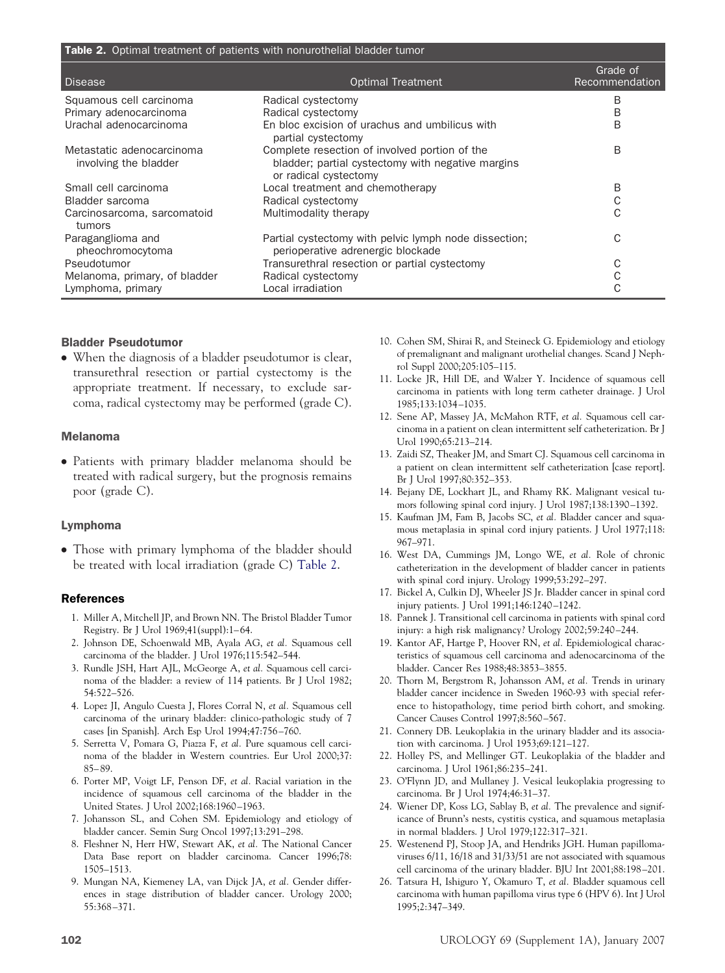<span id="page-9-0"></span>

| Table 2. Optimal treatment of patients with nonurothelial bladder tumor |                                                                                            |                            |  |
|-------------------------------------------------------------------------|--------------------------------------------------------------------------------------------|----------------------------|--|
| <b>Disease</b>                                                          | <b>Optimal Treatment</b>                                                                   | Grade of<br>Recommendation |  |
| Squamous cell carcinoma                                                 | Radical cystectomy                                                                         | B                          |  |
| Primary adenocarcinoma                                                  | Radical cystectomy                                                                         | B                          |  |
| Urachal adenocarcinoma                                                  | En bloc excision of urachus and umbilicus with<br>partial cystectomy                       | B                          |  |
| Metastatic adenocarcinoma                                               | Complete resection of involved portion of the                                              | B                          |  |
| involving the bladder                                                   | bladder; partial cystectomy with negative margins<br>or radical cystectomy                 |                            |  |
| Small cell carcinoma                                                    | Local treatment and chemotherapy                                                           | B                          |  |
| Bladder sarcoma                                                         | Radical cystectomy                                                                         | С                          |  |
| Carcinosarcoma, sarcomatoid<br>tumors                                   | Multimodality therapy                                                                      | C                          |  |
| Paraganglioma and<br>pheochromocytoma                                   | Partial cystectomy with pelvic lymph node dissection;<br>perioperative adrenergic blockade | C                          |  |
| Pseudotumor                                                             | Transurethral resection or partial cystectomy                                              |                            |  |
| Melanoma, primary, of bladder                                           | Radical cystectomy                                                                         |                            |  |
| Lymphoma, primary                                                       | Local irradiation                                                                          |                            |  |

#### Bladder Pseudotumor

● When the diagnosis of a bladder pseudotumor is clear, transurethral resection or partial cystectomy is the appropriate treatment. If necessary, to exclude sarcoma, radical cystectomy may be performed (grade C).

#### Melanoma

● Patients with primary bladder melanoma should be treated with radical surgery, but the prognosis remains poor (grade C).

## Lymphoma

• Those with primary lymphoma of the bladder should be treated with local irradiation (grade C) Table 2.

## References

- 1. Miller A, Mitchell JP, and Brown NN. The Bristol Bladder Tumor Registry. Br J Urol 1969;41(suppl):1– 64.
- 2. Johnson DE, Schoenwald MB, Ayala AG, *et al.* Squamous cell carcinoma of the bladder. J Urol 1976;115:542–544.
- 3. Rundle JSH, Hart AJL, McGeorge A, *et al.* Squamous cell carcinoma of the bladder: a review of 114 patients. Br J Urol 1982; 54:522–526.
- 4. Lopez JI, Angulo Cuesta J, Flores Corral N, *et al.* Squamous cell carcinoma of the urinary bladder: clinico-pathologic study of 7 cases [in Spanish]. Arch Esp Urol 1994;47:756 –760.
- 5. Serretta V, Pomara G, Piazza F, *et al.* Pure squamous cell carcinoma of the bladder in Western countries. Eur Urol 2000;37: 85– 89.
- 6. Porter MP, Voigt LF, Penson DF, *et al.* Racial variation in the incidence of squamous cell carcinoma of the bladder in the United States. J Urol 2002;168:1960 –1963.
- 7. Johansson SL, and Cohen SM. Epidemiology and etiology of bladder cancer. Semin Surg Oncol 1997;13:291–298.
- 8. Fleshner N, Herr HW, Stewart AK, *et al.* The National Cancer Data Base report on bladder carcinoma. Cancer 1996;78: 1505–1513.
- 9. Mungan NA, Kiemeney LA, van Dijck JA, *et al.* Gender differences in stage distribution of bladder cancer. Urology 2000; 55:368 –371.
- 10. Cohen SM, Shirai R, and Steineck G. Epidemiology and etiology of premalignant and malignant urothelial changes. Scand J Nephrol Suppl 2000;205:105–115.
- 11. Locke JR, Hill DE, and Walzer Y. Incidence of squamous cell carcinoma in patients with long term catheter drainage. J Urol 1985;133:1034 –1035.
- 12. Sene AP, Massey JA, McMahon RTF, *et al.* Squamous cell carcinoma in a patient on clean intermittent self catheterization. Br J Urol 1990;65:213–214.
- 13. Zaidi SZ, Theaker JM, and Smart CJ. Squamous cell carcinoma in a patient on clean intermittent self catheterization [case report]. Br J Urol 1997;80:352–353.
- 14. Bejany DE, Lockhart JL, and Rhamy RK. Malignant vesical tumors following spinal cord injury. J Urol 1987;138:1390-1392.
- 15. Kaufman JM, Fam B, Jacobs SC, *et al.* Bladder cancer and squamous metaplasia in spinal cord injury patients. J Urol 1977;118: 967–971.
- 16. West DA, Cummings JM, Longo WE, *et al.* Role of chronic catheterization in the development of bladder cancer in patients with spinal cord injury. Urology 1999;53:292–297.
- 17. Bickel A, Culkin DJ, Wheeler JS Jr. Bladder cancer in spinal cord injury patients. J Urol 1991;146:1240 –1242.
- 18. Pannek J. Transitional cell carcinoma in patients with spinal cord injury: a high risk malignancy? Urology 2002;59:240 –244.
- 19. Kantor AF, Hartge P, Hoover RN, *et al.* Epidemiological characteristics of squamous cell carcinoma and adenocarcinoma of the bladder. Cancer Res 1988;48:3853–3855.
- 20. Thorn M, Bergstrom R, Johansson AM, *et al.* Trends in urinary bladder cancer incidence in Sweden 1960-93 with special reference to histopathology, time period birth cohort, and smoking. Cancer Causes Control 1997;8:560 –567.
- 21. Connery DB. Leukoplakia in the urinary bladder and its association with carcinoma. J Urol 1953;69:121–127.
- 22. Holley PS, and Mellinger GT. Leukoplakia of the bladder and carcinoma. J Urol 1961;86:235–241.
- 23. O'Flynn JD, and Mullaney J. Vesical leukoplakia progressing to carcinoma. Br J Urol 1974;46:31–37.
- 24. Wiener DP, Koss LG, Sablay B, *et al.* The prevalence and significance of Brunn's nests, cystitis cystica, and squamous metaplasia in normal bladders. J Urol 1979;122:317–321.
- 25. Westenend PJ, Stoop JA, and Hendriks JGH. Human papillomaviruses 6/11, 16/18 and 31/33/51 are not associated with squamous cell carcinoma of the urinary bladder. BJU Int 2001;88:198 –201.
- 26. Tatsura H, Ishiguro Y, Okamuro T, *et al.* Bladder squamous cell carcinoma with human papilloma virus type 6 (HPV 6). Int J Urol 1995;2:347–349.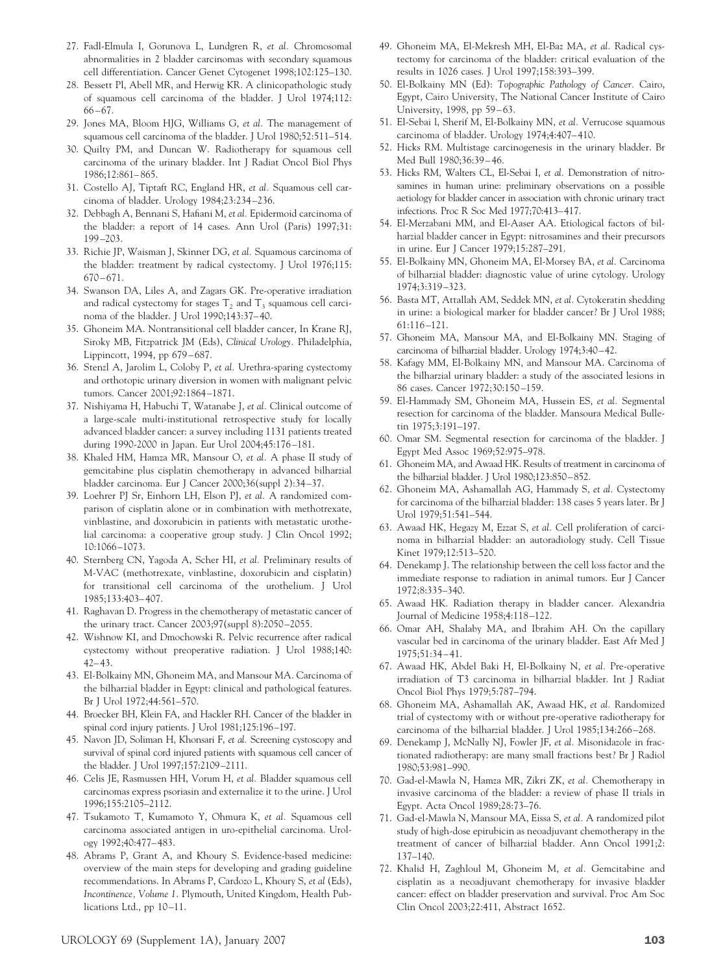- <span id="page-10-0"></span>27. Fadl-Elmula I, Gorunova L, Lundgren R, *et al.* Chromosomal abnormalities in 2 bladder carcinomas with secondary squamous cell differentiation. Cancer Genet Cytogenet 1998;102:125–130.
- 28. Bessett Pl, Abell MR, and Herwig KR. A clinicopathologic study of squamous cell carcinoma of the bladder. J Urol 1974;112:  $66 - 67.$
- 29. Jones MA, Bloom HJG, Williams G, *et al.* The management of squamous cell carcinoma of the bladder. J Urol 1980;52:511–514.
- 30. Quilty PM, and Duncan W. Radiotherapy for squamous cell carcinoma of the urinary bladder. Int J Radiat Oncol Biol Phys 1986;12:861– 865.
- 31. Costello AJ, Tiptaft RC, England HR, *et al.* Squamous cell carcinoma of bladder. Urology 1984;23:234 –236.
- 32. Debbagh A, Bennani S, Hafiani M, *et al.* Epidermoid carcinoma of the bladder: a report of 14 cases. Ann Urol (Paris) 1997;31: 199 –203.
- 33. Richie JP, Waisman J, Skinner DG, *et al.* Squamous carcinoma of the bladder: treatment by radical cystectomy. J Urol 1976;115:  $670 - 671.$
- 34. Swanson DA, Liles A, and Zagars GK. Pre-operative irradiation and radical cystectomy for stages  $T_2$  and  $T_3$  squamous cell carcinoma of the bladder. J Urol 1990;143:37– 40.
- 35. Ghoneim MA. Nontransitional cell bladder cancer, In Krane RJ, Siroky MB, Fitzpatrick JM (Eds), *Clinical Urology.* Philadelphia, Lippincott, 1994, pp 679 – 687.
- 36. Stenzl A, Jarolim L, Coloby P, *et al.* Urethra-sparing cystectomy and orthotopic urinary diversion in women with malignant pelvic tumors. Cancer 2001;92:1864 –1871.
- 37. Nishiyama H, Habuchi T, Watanabe J, *et al.* Clinical outcome of a large-scale multi-institutional retrospective study for locally advanced bladder cancer: a survey including 1131 patients treated during 1990-2000 in Japan. Eur Urol 2004;45:176 –181.
- 38. Khaled HM, Hamza MR, Mansour O, *et al.* A phase II study of gemcitabine plus cisplatin chemotherapy in advanced bilharzial bladder carcinoma. Eur J Cancer 2000;36(suppl 2):34 –37.
- 39. Loehrer PJ Sr, Einhorn LH, Elson PJ, *et al.* A randomized comparison of cisplatin alone or in combination with methotrexate, vinblastine, and doxorubicin in patients with metastatic urothelial carcinoma: a cooperative group study. J Clin Oncol 1992; 10:1066 –1073.
- 40. Sternberg CN, Yagoda A, Scher HI, *et al.* Preliminary results of M-VAC (methotrexate, vinblastine, doxorubicin and cisplatin) for transitional cell carcinoma of the urothelium. J Urol 1985;133:403– 407.
- 41. Raghavan D. Progress in the chemotherapy of metastatic cancer of the urinary tract. Cancer 2003;97(suppl 8):2050 –2055.
- 42. Wishnow KI, and Dmochowski R. Pelvic recurrence after radical cystectomy without preoperative radiation. J Urol 1988;140:  $42 - 43$ .
- 43. El-Bolkainy MN, Ghoneim MA, and Mansour MA. Carcinoma of the bilharzial bladder in Egypt: clinical and pathological features. Br J Urol 1972;44:561–570.
- 44. Broecker BH, Klein FA, and Hackler RH. Cancer of the bladder in spinal cord injury patients. J Urol 1981;125:196-197.
- 45. Navon JD, Soliman H, Khonsari F, *et al.* Screening cystoscopy and survival of spinal cord injured patients with squamous cell cancer of the bladder. J Urol 1997;157:2109 –2111.
- 46. Celis JE, Rasmussen HH, Vorum H, *et al.* Bladder squamous cell carcinomas express psoriasin and externalize it to the urine. J Urol 1996;155:2105–2112.
- 47. Tsukamoto T, Kumamoto Y, Ohmura K, *et al.* Squamous cell carcinoma associated antigen in uro-epithelial carcinoma. Urology 1992;40:477– 483.
- 48. Abrams P, Grant A, and Khoury S. Evidence-based medicine: overview of the main steps for developing and grading guideline recommendations. In Abrams P, Cardozo L, Khoury S, *et al* (Eds), *Incontinence, Volume 1*. Plymouth, United Kingdom, Health Publications Ltd., pp 10-11.
- 49. Ghoneim MA, El-Mekresh MH, El-Baz MA, *et al.* Radical cystectomy for carcinoma of the bladder: critical evaluation of the results in 1026 cases. J Urol 1997;158:393–399.
- 50. El-Bolkainy MN (Ed): *Topographic Pathology of Cancer.* Cairo, Egypt, Cairo University, The National Cancer Institute of Cairo University, 1998, pp 59-63.
- 51. El-Sebai l, Sherif M, El-Bolkainy MN, *et al.* Verrucose squamous carcinoma of bladder. Urology 1974;4:407– 410.
- 52. Hicks RM. Multistage carcinogenesis in the urinary bladder. Br Med Bull 1980;36:39 – 46.
- 53. Hicks RM, Walters CL, El-Sebai I, *et al.* Demonstration of nitrosamines in human urine: preliminary observations on a possible aetiology for bladder cancer in association with chronic urinary tract infections. Proc R Soc Med 1977;70:413– 417.
- 54. El-Merzabani MM, and El-Aaser AA. Etiological factors of bilharzial bladder cancer in Egypt: nitrosamines and their precursors in urine. Eur J Cancer 1979;15:287–291.
- 55. El-Bolkainy MN, Ghoneim MA, El-Morsey BA, *et al.* Carcinoma of bilharzial bladder: diagnostic value of urine cytology. Urology 1974;3:319 –323.
- 56. Basta MT, Attallah AM, Seddek MN, *et al.* Cytokeratin shedding in urine: a biological marker for bladder cancer? Br J Urol 1988; 61:116 –121.
- 57. Ghoneim MA, Mansour MA, and El-Bolkainy MN. Staging of carcinoma of bilharzial bladder. Urology 1974;3:40 – 42.
- 58. Kafagy MM, El-Bolkainy MN, and Mansour MA. Carcinoma of the bilharzial urinary bladder: a study of the associated lesions in 86 cases. Cancer 1972;30:150 –159.
- 59. El-Hammady SM, Ghoneim MA, Hussein ES, *et al.* Segmental resection for carcinoma of the bladder. Mansoura Medical Bulletin 1975;3:191–197.
- 60. Omar SM. Segmental resection for carcinoma of the bladder. J Egypt Med Assoc 1969;52:975–978.
- 61. Ghoneim MA, and Awaad HK. Results of treatment in carcinoma of the bilharzial bladder. J Urol 1980;123:850 – 852.
- 62. Ghoneim MA, Ashamallah AG, Hammady S, *et al.* Cystectomy for carcinoma of the bilharzial bladder: 138 cases 5 years later. Br J Urol 1979;51:541–544.
- 63. Awaad HK, Hegazy M, Ezzat S, *et al.* Cell proliferation of carcinoma in bilharzial bladder: an autoradiology study. Cell Tissue Kinet 1979;12:513–520.
- 64. Denekamp J. The relationship between the cell loss factor and the immediate response to radiation in animal tumors. Eur J Cancer 1972;8:335–340.
- 65. Awaad HK. Radiation therapy in bladder cancer. Alexandria Journal of Medicine 1958;4:118 –122.
- 66. Omar AH, Shalaby MA, and Ibrahim AH. On the capillary vascular bed in carcinoma of the urinary bladder. East Afr Med J 1975;51:34 – 41.
- 67. Awaad HK, Abdel Baki H, El-Bolkainy N, *et al.* Pre-operative irradiation of T3 carcinoma in bilharzial bladder. Int J Radiat Oncol Biol Phys 1979;5:787–794.
- 68. Ghoneim MA, Ashamallah AK, Awaad HK, *et al.* Randomized trial of cystectomy with or without pre-operative radiotherapy for carcinoma of the bilharzial bladder. J Urol 1985;134:266 –268.
- 69. Denekamp J, McNally NJ, Fowler JF, *et al.* Misonidazole in fractionated radiotherapy: are many small fractions best? Br J Radiol 1980;53:981–990.
- 70. Gad-el-Mawla N, Hamza MR, Zikri ZK, *et al.* Chemotherapy in invasive carcinoma of the bladder: a review of phase II trials in Egypt. Acta Oncol 1989;28:73–76.
- 71. Gad-el-Mawla N, Mansour MA, Eissa S, *et al.* A randomized pilot study of high-dose epirubicin as neoadjuvant chemotherapy in the treatment of cancer of bilharzial bladder. Ann Oncol 1991;2: 137–140.
- 72. Khalid H, Zaghloul M, Ghoneim M, *et al.* Gemcitabine and cisplatin as a neoadjuvant chemotherapy for invasive bladder cancer: effect on bladder preservation and survival. Proc Am Soc Clin Oncol 2003;22:411, Abstract 1652.